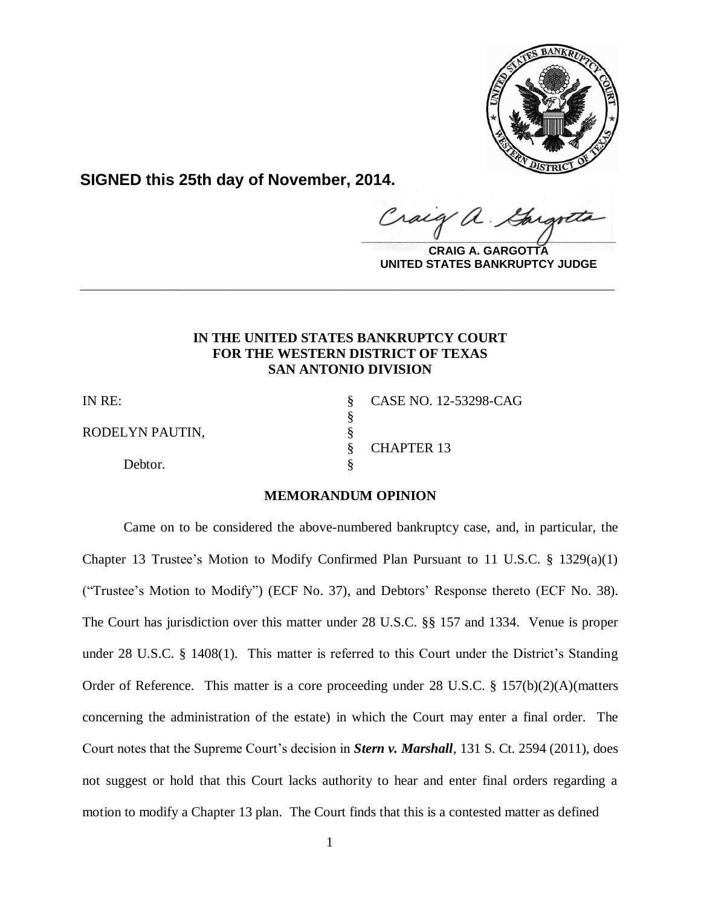

**SIGNED this 25th day of November, 2014.**

Craig a.  $\frac{1}{2}$ 

**CRAIG A. GARGOTTA UNITED STATES BANKRUPTCY JUDGE**

# **IN THE UNITED STATES BANKRUPTCY COURT FOR THE WESTERN DISTRICT OF TEXAS SAN ANTONIO DIVISION**

**\_\_\_\_\_\_\_\_\_\_\_\_\_\_\_\_\_\_\_\_\_\_\_\_\_\_\_\_\_\_\_\_\_\_\_\_\_\_\_\_\_\_\_\_\_\_\_\_\_\_\_\_\_\_\_\_\_\_\_\_**

§

RODELYN PAUTIN, §<br>§

Debtor.

IN RE: § CASE NO. 12-53298-CAG § CHAPTER 13

### **MEMORANDUM OPINION**

Came on to be considered the above-numbered bankruptcy case, and, in particular, the Chapter 13 Trustee's Motion to Modify Confirmed Plan Pursuant to 11 U.S.C. § 1329(a)(1) ("Trustee's Motion to Modify") (ECF No. 37), and Debtors' Response thereto (ECF No. 38). The Court has jurisdiction over this matter under 28 U.S.C. §§ 157 and 1334. Venue is proper under 28 U.S.C. § 1408(1). This matter is referred to this Court under the District's Standing Order of Reference. This matter is a core proceeding under 28 U.S.C. § 157(b)(2)(A)(matters concerning the administration of the estate) in which the Court may enter a final order. The Court notes that the Supreme Court's decision in *Stern v. Marshall*, 131 S. Ct. 2594 (2011), does not suggest or hold that this Court lacks authority to hear and enter final orders regarding a motion to modify a Chapter 13 plan. The Court finds that this is a contested matter as defined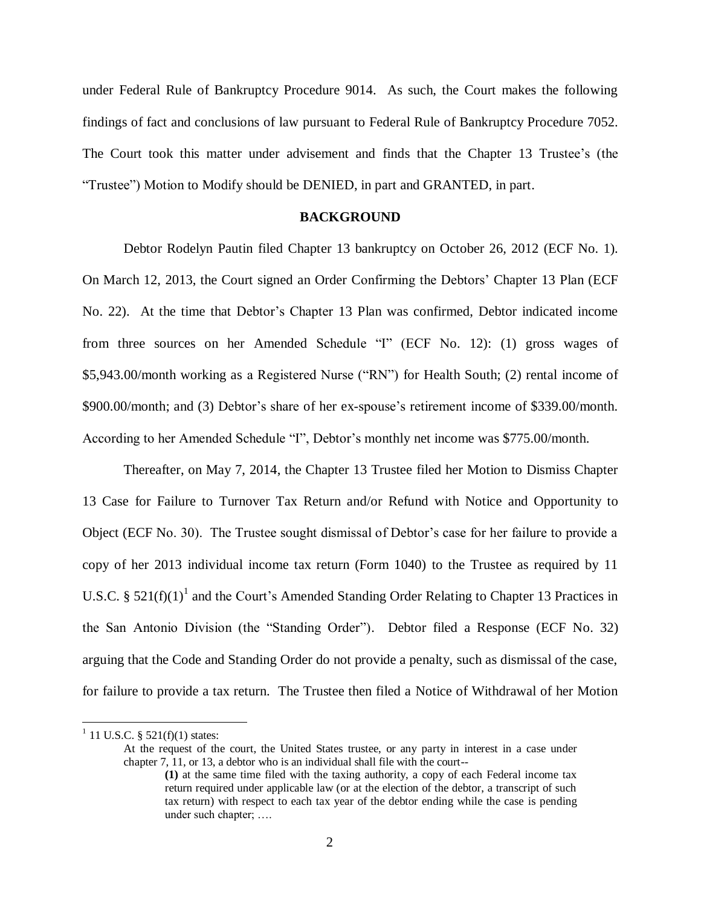under Federal Rule of Bankruptcy Procedure 9014. As such, the Court makes the following findings of fact and conclusions of law pursuant to Federal Rule of Bankruptcy Procedure 7052. The Court took this matter under advisement and finds that the Chapter 13 Trustee's (the "Trustee") Motion to Modify should be DENIED, in part and GRANTED, in part.

#### **BACKGROUND**

Debtor Rodelyn Pautin filed Chapter 13 bankruptcy on October 26, 2012 (ECF No. 1). On March 12, 2013, the Court signed an Order Confirming the Debtors' Chapter 13 Plan (ECF No. 22). At the time that Debtor's Chapter 13 Plan was confirmed, Debtor indicated income from three sources on her Amended Schedule "I" (ECF No. 12): (1) gross wages of \$5,943.00/month working as a Registered Nurse ("RN") for Health South; (2) rental income of \$900.00/month; and (3) Debtor's share of her ex-spouse's retirement income of \$339.00/month. According to her Amended Schedule "I", Debtor's monthly net income was \$775.00/month.

Thereafter, on May 7, 2014, the Chapter 13 Trustee filed her Motion to Dismiss Chapter 13 Case for Failure to Turnover Tax Return and/or Refund with Notice and Opportunity to Object (ECF No. 30). The Trustee sought dismissal of Debtor's case for her failure to provide a copy of her 2013 individual income tax return (Form 1040) to the Trustee as required by 11 U.S.C. §  $521(f)(1)^{1}$  and the Court's Amended Standing Order Relating to Chapter 13 Practices in the San Antonio Division (the "Standing Order"). Debtor filed a Response (ECF No. 32) arguing that the Code and Standing Order do not provide a penalty, such as dismissal of the case, for failure to provide a tax return. The Trustee then filed a Notice of Withdrawal of her Motion

 $\overline{a}$ 

At the request of the court, the United States trustee, or any party in interest in a case under chapter 7, 11, or 13, a debtor who is an individual shall file with the court--

 $1$  11 U.S.C. § 521(f)(1) states:

**<sup>(1)</sup>** at the same time filed with the taxing authority, a copy of each Federal income tax return required under applicable law (or at the election of the debtor, a transcript of such tax return) with respect to each tax year of the debtor ending while the case is pending under such chapter; ….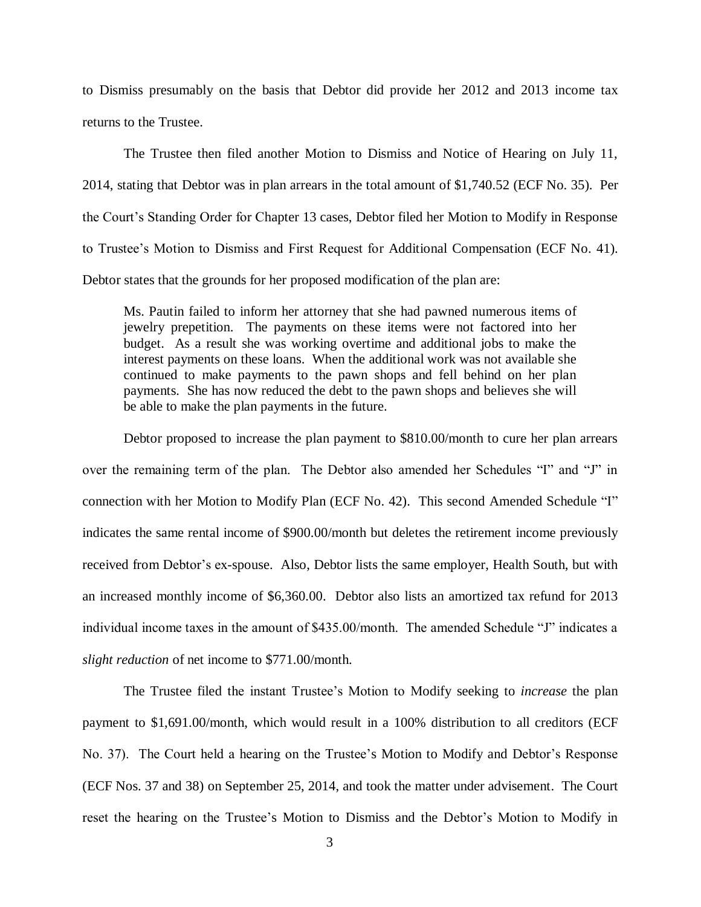to Dismiss presumably on the basis that Debtor did provide her 2012 and 2013 income tax returns to the Trustee.

The Trustee then filed another Motion to Dismiss and Notice of Hearing on July 11, 2014, stating that Debtor was in plan arrears in the total amount of \$1,740.52 (ECF No. 35). Per the Court's Standing Order for Chapter 13 cases, Debtor filed her Motion to Modify in Response to Trustee's Motion to Dismiss and First Request for Additional Compensation (ECF No. 41). Debtor states that the grounds for her proposed modification of the plan are:

Ms. Pautin failed to inform her attorney that she had pawned numerous items of jewelry prepetition. The payments on these items were not factored into her budget. As a result she was working overtime and additional jobs to make the interest payments on these loans. When the additional work was not available she continued to make payments to the pawn shops and fell behind on her plan payments. She has now reduced the debt to the pawn shops and believes she will be able to make the plan payments in the future.

Debtor proposed to increase the plan payment to \$810.00/month to cure her plan arrears over the remaining term of the plan. The Debtor also amended her Schedules "I" and "J" in connection with her Motion to Modify Plan (ECF No. 42). This second Amended Schedule "I" indicates the same rental income of \$900.00/month but deletes the retirement income previously received from Debtor's ex-spouse. Also, Debtor lists the same employer, Health South, but with an increased monthly income of \$6,360.00. Debtor also lists an amortized tax refund for 2013 individual income taxes in the amount of \$435.00/month. The amended Schedule "J" indicates a *slight reduction* of net income to \$771.00/month.

The Trustee filed the instant Trustee's Motion to Modify seeking to *increase* the plan payment to \$1,691.00/month, which would result in a 100% distribution to all creditors (ECF No. 37). The Court held a hearing on the Trustee's Motion to Modify and Debtor's Response (ECF Nos. 37 and 38) on September 25, 2014, and took the matter under advisement. The Court reset the hearing on the Trustee's Motion to Dismiss and the Debtor's Motion to Modify in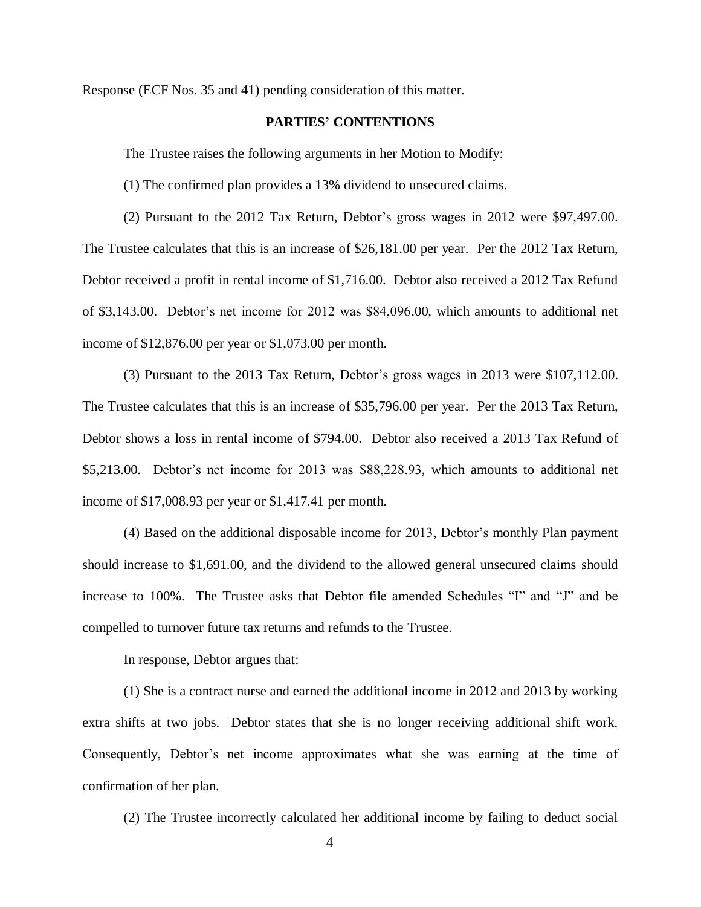Response (ECF Nos. 35 and 41) pending consideration of this matter.

## **PARTIES' CONTENTIONS**

The Trustee raises the following arguments in her Motion to Modify:

(1) The confirmed plan provides a 13% dividend to unsecured claims.

(2) Pursuant to the 2012 Tax Return, Debtor's gross wages in 2012 were \$97,497.00. The Trustee calculates that this is an increase of \$26,181.00 per year. Per the 2012 Tax Return, Debtor received a profit in rental income of \$1,716.00. Debtor also received a 2012 Tax Refund of \$3,143.00. Debtor's net income for 2012 was \$84,096.00, which amounts to additional net income of \$12,876.00 per year or \$1,073.00 per month.

(3) Pursuant to the 2013 Tax Return, Debtor's gross wages in 2013 were \$107,112.00. The Trustee calculates that this is an increase of \$35,796.00 per year. Per the 2013 Tax Return, Debtor shows a loss in rental income of \$794.00. Debtor also received a 2013 Tax Refund of \$5,213.00. Debtor's net income for 2013 was \$88,228.93, which amounts to additional net income of \$17,008.93 per year or \$1,417.41 per month.

(4) Based on the additional disposable income for 2013, Debtor's monthly Plan payment should increase to \$1,691.00, and the dividend to the allowed general unsecured claims should increase to 100%. The Trustee asks that Debtor file amended Schedules "I" and "J" and be compelled to turnover future tax returns and refunds to the Trustee.

In response, Debtor argues that:

(1) She is a contract nurse and earned the additional income in 2012 and 2013 by working extra shifts at two jobs. Debtor states that she is no longer receiving additional shift work. Consequently, Debtor's net income approximates what she was earning at the time of confirmation of her plan.

(2) The Trustee incorrectly calculated her additional income by failing to deduct social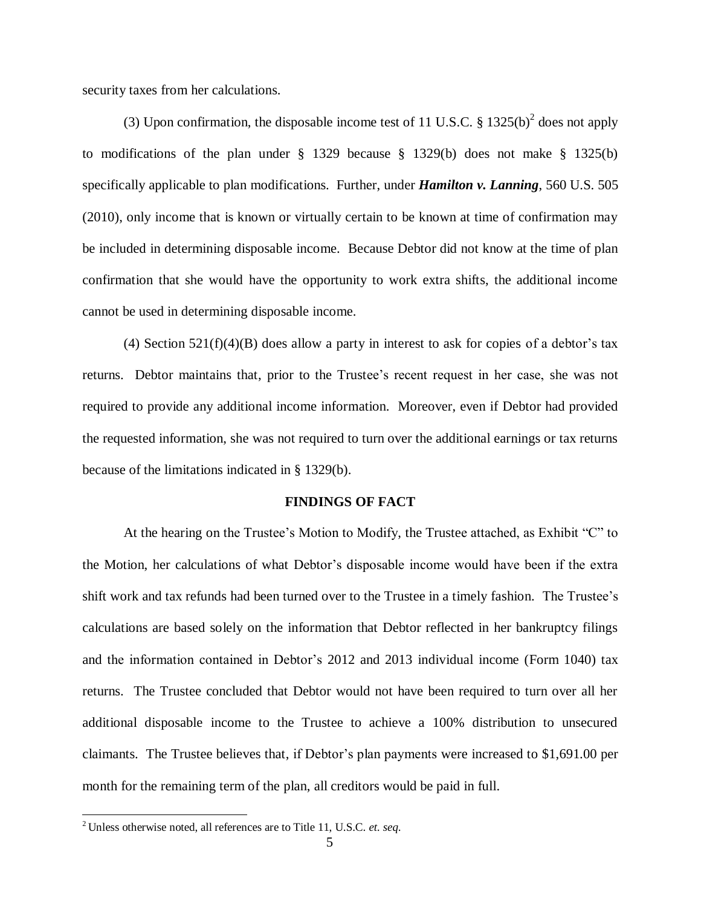security taxes from her calculations.

(3) Upon confirmation, the disposable income test of 11 U.S.C.  $\S 1325(b)^2$  does not apply to modifications of the plan under § 1329 because § 1329(b) does not make § 1325(b) specifically applicable to plan modifications. Further, under *Hamilton v. Lanning*, 560 U.S. 505 (2010), only income that is known or virtually certain to be known at time of confirmation may be included in determining disposable income. Because Debtor did not know at the time of plan confirmation that she would have the opportunity to work extra shifts, the additional income cannot be used in determining disposable income.

(4) Section  $521(f)(4)(B)$  does allow a party in interest to ask for copies of a debtor's tax returns. Debtor maintains that, prior to the Trustee's recent request in her case, she was not required to provide any additional income information. Moreover, even if Debtor had provided the requested information, she was not required to turn over the additional earnings or tax returns because of the limitations indicated in § 1329(b).

#### **FINDINGS OF FACT**

At the hearing on the Trustee's Motion to Modify, the Trustee attached, as Exhibit "C" to the Motion, her calculations of what Debtor's disposable income would have been if the extra shift work and tax refunds had been turned over to the Trustee in a timely fashion. The Trustee's calculations are based solely on the information that Debtor reflected in her bankruptcy filings and the information contained in Debtor's 2012 and 2013 individual income (Form 1040) tax returns. The Trustee concluded that Debtor would not have been required to turn over all her additional disposable income to the Trustee to achieve a 100% distribution to unsecured claimants. The Trustee believes that, if Debtor's plan payments were increased to \$1,691.00 per month for the remaining term of the plan, all creditors would be paid in full.

<sup>2</sup> Unless otherwise noted, all references are to Title 11, U.S.C. *et. seq*.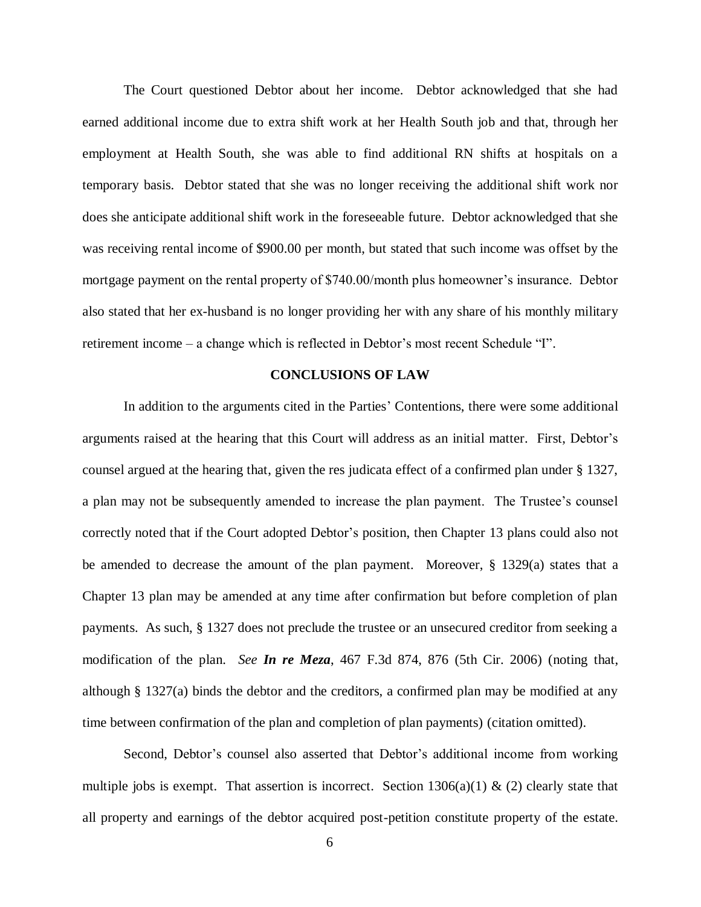The Court questioned Debtor about her income. Debtor acknowledged that she had earned additional income due to extra shift work at her Health South job and that, through her employment at Health South, she was able to find additional RN shifts at hospitals on a temporary basis. Debtor stated that she was no longer receiving the additional shift work nor does she anticipate additional shift work in the foreseeable future. Debtor acknowledged that she was receiving rental income of \$900.00 per month, but stated that such income was offset by the mortgage payment on the rental property of \$740.00/month plus homeowner's insurance. Debtor also stated that her ex-husband is no longer providing her with any share of his monthly military retirement income – a change which is reflected in Debtor's most recent Schedule "I".

#### **CONCLUSIONS OF LAW**

In addition to the arguments cited in the Parties' Contentions, there were some additional arguments raised at the hearing that this Court will address as an initial matter. First, Debtor's counsel argued at the hearing that, given the res judicata effect of a confirmed plan under § 1327, a plan may not be subsequently amended to increase the plan payment. The Trustee's counsel correctly noted that if the Court adopted Debtor's position, then Chapter 13 plans could also not be amended to decrease the amount of the plan payment. Moreover, § 1329(a) states that a Chapter 13 plan may be amended at any time after confirmation but before completion of plan payments. As such, § 1327 does not preclude the trustee or an unsecured creditor from seeking a modification of the plan. *See In re Meza*, 467 F.3d 874, 876 (5th Cir. 2006) (noting that, although § 1327(a) binds the debtor and the creditors, a confirmed plan may be modified at any time between confirmation of the plan and completion of plan payments) (citation omitted).

Second, Debtor's counsel also asserted that Debtor's additional income from working multiple jobs is exempt. That assertion is incorrect. Section  $1306(a)(1) \& (2)$  clearly state that all property and earnings of the debtor acquired post-petition constitute property of the estate.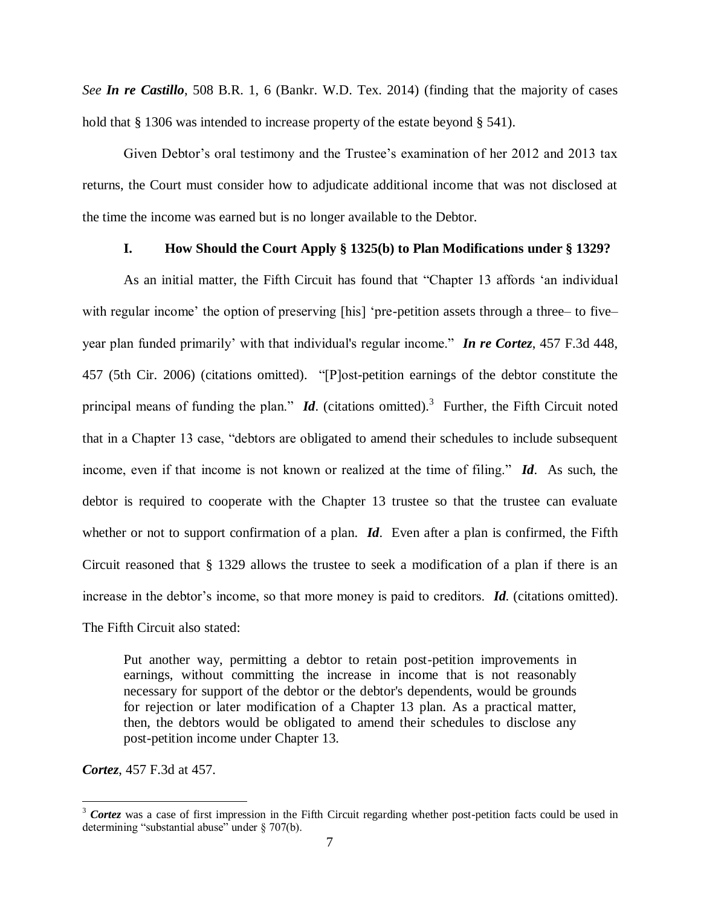*See In re Castillo*, 508 B.R. 1, 6 (Bankr. W.D. Tex. 2014) (finding that the majority of cases hold that § 1306 was intended to increase property of the estate beyond § 541).

Given Debtor's oral testimony and the Trustee's examination of her 2012 and 2013 tax returns, the Court must consider how to adjudicate additional income that was not disclosed at the time the income was earned but is no longer available to the Debtor.

### **I. How Should the Court Apply § 1325(b) to Plan Modifications under § 1329?**

As an initial matter, the Fifth Circuit has found that "Chapter 13 affords 'an individual with regular income' the option of preserving [his] 'pre-petition assets through a three– to five– year plan funded primarily' with that individual's regular income." *In re Cortez*, 457 F.3d 448, 457 (5th Cir. 2006) (citations omitted). "[P]ost-petition earnings of the debtor constitute the principal means of funding the plan."  $Id$ . (citations omitted).<sup>3</sup> Further, the Fifth Circuit noted that in a Chapter 13 case, "debtors are obligated to amend their schedules to include subsequent income, even if that income is not known or realized at the time of filing." *Id*. As such, the debtor is required to cooperate with the Chapter 13 trustee so that the trustee can evaluate whether or not to support confirmation of a plan. **Id**. Even after a plan is confirmed, the Fifth Circuit reasoned that § 1329 allows the trustee to seek a modification of a plan if there is an increase in the debtor's income, so that more money is paid to creditors. *Id*. (citations omitted).

The Fifth Circuit also stated:

Put another way, permitting a debtor to retain post-petition improvements in earnings, without committing the increase in income that is not reasonably necessary for support of the debtor or the debtor's dependents, would be grounds for rejection or later modification of a Chapter 13 plan. As a practical matter, then, the debtors would be obligated to amend their schedules to disclose any post-petition income under Chapter 13.

*Cortez*, 457 F.3d at 457.

<sup>&</sup>lt;sup>3</sup> Cortez was a case of first impression in the Fifth Circuit regarding whether post-petition facts could be used in determining "substantial abuse" under § 707(b).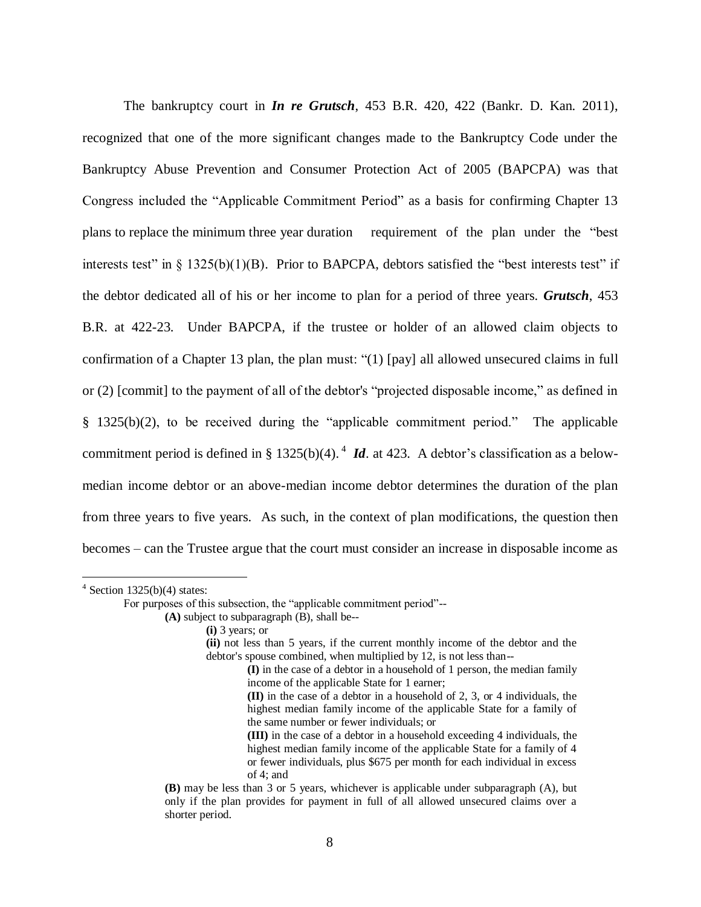The bankruptcy court in *In re Grutsch*, 453 B.R. 420, 422 (Bankr. D. Kan. 2011), recognized that one of the more significant changes made to the Bankruptcy Code under the Bankruptcy Abuse Prevention and Consumer Protection Act of 2005 (BAPCPA) was that Congress included the "Applicable Commitment Period" as a basis for confirming Chapter 13 plans to replace the minimum three year duration requirement of the plan under the "best interests test" in  $\S$  1325(b)(1)(B). Prior to BAPCPA, debtors satisfied the "best interests test" if the debtor dedicated all of his or her income to plan for a period of three years. *Grutsch*, 453 B.R. at 422-23. Under BAPCPA, if the trustee or holder of an allowed claim objects to confirmation of a Chapter 13 plan, the plan must: "(1) [pay] all allowed unsecured claims in full or (2) [commit] to the payment of all of the debtor's "projected disposable income," as defined in [§ 1325\(b\)\(2\),](https://a.next.westlaw.com/Link/Document/FullText?findType=L&pubNum=1000546&cite=11USCAS1325&originationContext=document&transitionType=DocumentItem&contextData=%28sc.UserEnteredCitation%29#co_pp_c0ae00006c482) to be received during the "applicable commitment period." The applicable commitment period is defined in [§ 1325\(b\)\(4\).](https://a.next.westlaw.com/Link/Document/FullText?findType=L&pubNum=1000546&cite=11USCAS1325&originationContext=document&transitionType=DocumentItem&contextData=%28sc.UserEnteredCitation%29#co_pp_6ad60000aeea7)<sup>4</sup> *Id*. at 423. A debtor's classification as a belowmedian income debtor or an above-median income debtor determines the duration of the plan from three years to five years. As such, in the context of plan modifications, the question then becomes – can the Trustee argue that the court must consider an increase in disposable income as

 $4$  Section 1325(b)(4) states:

For purposes of this subsection, the "applicable commitment period"--

**<sup>(</sup>A)** subject to subparagraph (B), shall be--

**<sup>(</sup>i)** 3 years; or

**<sup>(</sup>ii)** not less than 5 years, if the current monthly income of the debtor and the debtor's spouse combined, when multiplied by 12, is not less than--

**<sup>(</sup>I)** in the case of a debtor in a household of 1 person, the median family income of the applicable State for 1 earner;

**<sup>(</sup>II)** in the case of a debtor in a household of 2, 3, or 4 individuals, the highest median family income of the applicable State for a family of the same number or fewer individuals; or

**<sup>(</sup>III)** in the case of a debtor in a household exceeding 4 individuals, the highest median family income of the applicable State for a family of 4 or fewer individuals, plus \$675 per month for each individual in excess of 4; and

**<sup>(</sup>B)** may be less than 3 or 5 years, whichever is applicable under subparagraph (A), but only if the plan provides for payment in full of all allowed unsecured claims over a shorter period.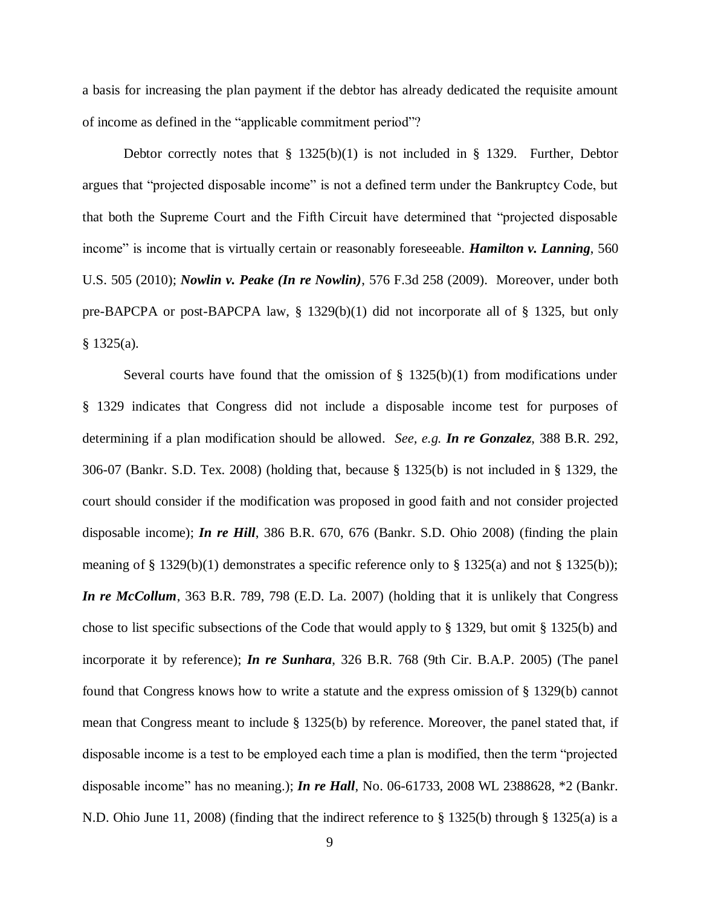a basis for increasing the plan payment if the debtor has already dedicated the requisite amount of income as defined in the "applicable commitment period"?

Debtor correctly notes that  $\S$  1325(b)(1) is not included in  $\S$  1329. Further, Debtor argues that "projected disposable income" is not a defined term under the Bankruptcy Code, but that both the Supreme Court and the Fifth Circuit have determined that "projected disposable income" is income that is virtually certain or reasonably foreseeable. *Hamilton v. Lanning*, 560 U.S. 505 (2010); *Nowlin v. Peake (In re Nowlin)*, 576 F.3d 258 (2009). Moreover, under both pre-BAPCPA or post-BAPCPA law, § 1329(b)(1) did not incorporate all of § 1325, but only  $§$  1325(a).

Several courts have found that the omission of  $\S$  1325(b)(1) from modifications under § 1329 indicates that Congress did not include a disposable income test for purposes of determining if a plan modification should be allowed. *See, e.g. In re Gonzalez*, 388 B.R. 292, 306-07 (Bankr. S.D. Tex. 2008) (holding that, because § 1325(b) is not included in § 1329, the court should consider if the modification was proposed in good faith and not consider projected disposable income); *In re Hill*, 386 B.R. 670, 676 (Bankr. S.D. Ohio 2008) (finding the plain meaning of § 1329(b)(1) demonstrates a specific reference only to § 1325(a) and not § 1325(b)); *In re McCollum*, 363 B.R. 789, 798 (E.D. La. 2007) (holding that it is unlikely that Congress chose to list specific subsections of the Code that would apply to § 1329, but omit § 1325(b) and incorporate it by reference); *In re Sunhara*, 326 B.R. 768 (9th Cir. B.A.P. 2005) (The panel found that Congress knows how to write a statute and the express omission of § 1329(b) cannot mean that Congress meant to include § 1325(b) by reference. Moreover, the panel stated that, if disposable income is a test to be employed each time a plan is modified, then the term "projected disposable income" has no meaning.); *In re Hall*, No. 06-61733, 2008 WL 2388628, \*2 (Bankr. N.D. Ohio June 11, 2008) (finding that the indirect reference to § 1325(b) through § 1325(a) is a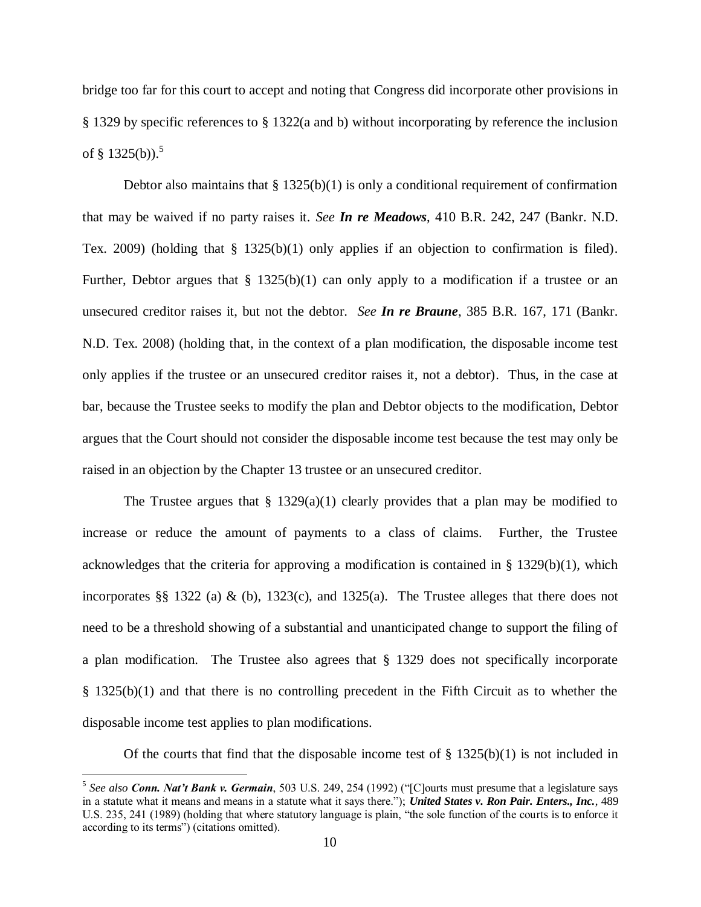bridge too far for this court to accept and noting that Congress did incorporate other provisions in § 1329 by specific references to § 1322(a and b) without incorporating by reference the inclusion of § 1325(b)).<sup>5</sup>

Debtor also maintains that  $\S 1325(b)(1)$  is only a conditional requirement of confirmation that may be waived if no party raises it. *See In re Meadows*, 410 B.R. 242, 247 (Bankr. N.D. Tex. 2009) (holding that § 1325(b)(1) only applies if an objection to confirmation is filed). Further, Debtor argues that  $\S$  1325(b)(1) can only apply to a modification if a trustee or an unsecured creditor raises it, but not the debtor. *See In re Braune*, 385 B.R. 167, 171 (Bankr. N.D. Tex. 2008) (holding that, in the context of a plan modification, the disposable income test only applies if the trustee or an unsecured creditor raises it, not a debtor). Thus, in the case at bar, because the Trustee seeks to modify the plan and Debtor objects to the modification, Debtor argues that the Court should not consider the disposable income test because the test may only be raised in an objection by the Chapter 13 trustee or an unsecured creditor.

The Trustee argues that  $\S$  1329(a)(1) clearly provides that a plan may be modified to increase or reduce the amount of payments to a class of claims. Further, the Trustee acknowledges that the criteria for approving a modification is contained in  $\S$  1329(b)(1), which incorporates §§ 1322 (a) & (b), 1323(c), and 1325(a). The Trustee alleges that there does not need to be a threshold showing of a substantial and unanticipated change to support the filing of a plan modification. The Trustee also agrees that § 1329 does not specifically incorporate § 1325(b)(1) and that there is no controlling precedent in the Fifth Circuit as to whether the disposable income test applies to plan modifications.

Of the courts that find that the disposable income test of  $\S$  1325(b)(1) is not included in

<sup>5</sup> *See also Conn. Nat't Bank v. Germain*, 503 U.S. 249, 254 (1992) ("[C]ourts must presume that a legislature says in a statute what it means and means in a statute what it says there."); *United States v. Ron Pair. Enters., Inc.*, 489 U.S. 235, 241 (1989) (holding that where statutory language is plain, "the sole function of the courts is to enforce it according to its terms") (citations omitted).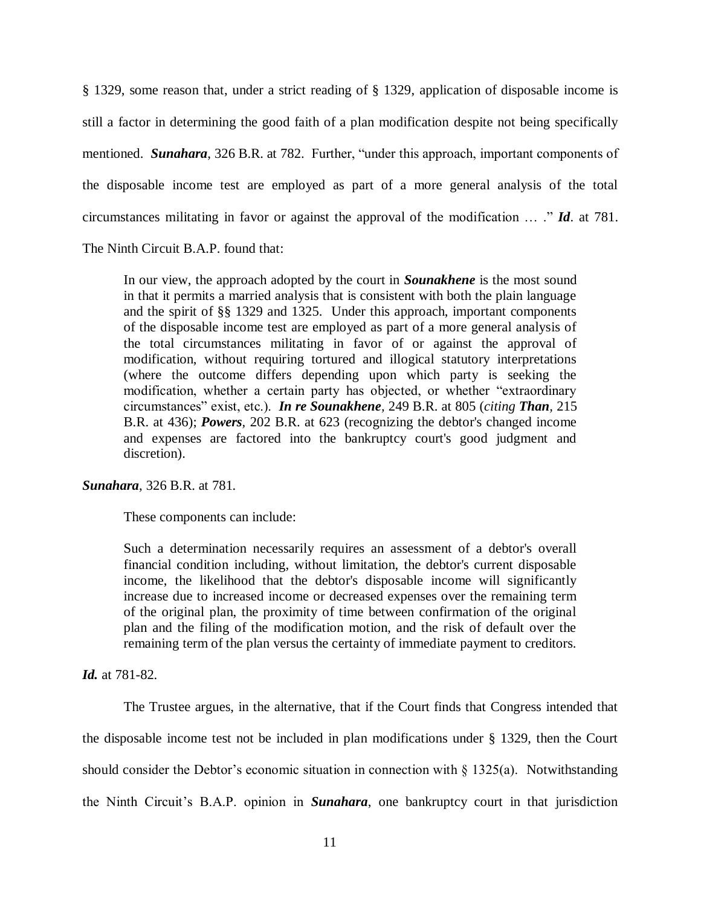§ 1329, some reason that, under a strict reading of § 1329, application of disposable income is still a factor in determining the good faith of a plan modification despite not being specifically mentioned. *Sunahara*, 326 B.R. at 782. Further, "under this approach, important components of the disposable income test are employed as part of a more general analysis of the total circumstances militating in favor or against the approval of the modification … ." *Id*. at 781.

The Ninth Circuit B.A.P. found that:

In our view, the approach adopted by the court in *Sounakhene* is the most sound in that it permits a married analysis that is consistent with both the plain language and the spirit of [§§ 1329](https://a.next.westlaw.com/Link/Document/FullText?findType=L&pubNum=1000546&cite=11USCAS1329&originatingDoc=Iaa883720eff511d98ac8f235252e36df&refType=LQ&originationContext=document&transitionType=DocumentItem&contextData=%28sc.UserEnteredCitation%29) and [1325.](https://a.next.westlaw.com/Link/Document/FullText?findType=L&pubNum=1000546&cite=11USCAS1325&originatingDoc=Iaa883720eff511d98ac8f235252e36df&refType=LQ&originationContext=document&transitionType=DocumentItem&contextData=%28sc.UserEnteredCitation%29) Under this approach, important components of the disposable income test are employed as part of a more general analysis of the total circumstances militating in favor of or against the approval of modification, without requiring tortured and illogical statutory interpretations (where the outcome differs depending upon which party is seeking the modification, whether a certain party has objected, or whether "extraordinary circumstances" exist, etc.). *[In re Sounakhene](https://a.next.westlaw.com/Link/Document/FullText?findType=Y&serNum=2000382155&pubNum=164&fi=co_pp_sp_164_805&originationContext=document&transitionType=DocumentItem&contextData=%28sc.UserEnteredCitation%29#co_pp_sp_164_805),* 249 B.R. at 805 (*citing [Than](https://a.next.westlaw.com/Link/Document/FullText?findType=Y&serNum=1997239489&pubNum=164&fi=co_pp_sp_164_436&originationContext=document&transitionType=DocumentItem&contextData=%28sc.UserEnteredCitation%29#co_pp_sp_164_436),* 215 [B.R. at 436\);](https://a.next.westlaw.com/Link/Document/FullText?findType=Y&serNum=1997239489&pubNum=164&fi=co_pp_sp_164_436&originationContext=document&transitionType=DocumentItem&contextData=%28sc.UserEnteredCitation%29#co_pp_sp_164_436) *Powers,* [202 B.R. at 623](https://a.next.westlaw.com/Link/Document/FullText?findType=Y&serNum=1996264752&pubNum=164&fi=co_pp_sp_164_623&originationContext=document&transitionType=DocumentItem&contextData=%28sc.UserEnteredCitation%29#co_pp_sp_164_623) (recognizing the debtor's changed income and expenses are factored into the bankruptcy court's good judgment and discretion).

*Sunahara*, 326 B.R. at 781.

These components can include:

Such a determination necessarily requires an assessment of a debtor's overall financial condition including, without limitation, the debtor's current disposable income, the likelihood that the debtor's disposable income will significantly increase due to increased income or decreased expenses over the remaining term of the original plan, the proximity of time between confirmation of the original plan and the filing of the modification motion, and the risk of default over the remaining term of the plan versus the certainty of immediate payment to creditors.

*Id.* at 781-82.

The Trustee argues, in the alternative, that if the Court finds that Congress intended that the disposable income test not be included in plan modifications under § 1329, then the Court should consider the Debtor's economic situation in connection with  $\S 1325(a)$ . Notwithstanding the Ninth Circuit's B.A.P. opinion in *Sunahara*, one bankruptcy court in that jurisdiction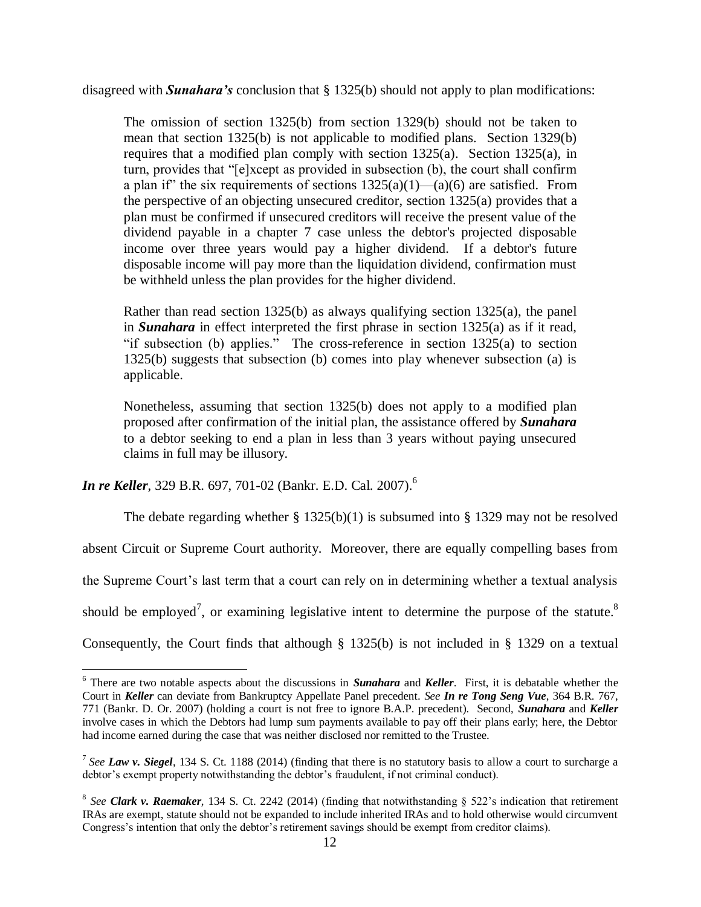disagreed with *Sunahara's* conclusion that § 1325(b) should not apply to plan modifications:

The omission of [section 1325\(b\)](https://a.next.westlaw.com/Link/Document/FullText?findType=L&pubNum=1000546&cite=11USCAS1325&originatingDoc=I7b66c8d0207f11da9bcc85e7f8e2f4cd&refType=LQ&originationContext=document&transitionType=DocumentItem&contextData=%28sc.UserEnteredCitation%29) from [section 1329\(b\)](https://a.next.westlaw.com/Link/Document/FullText?findType=L&pubNum=1000546&cite=11USCAS1329&originatingDoc=I7b66c8d0207f11da9bcc85e7f8e2f4cd&refType=LQ&originationContext=document&transitionType=DocumentItem&contextData=%28sc.UserEnteredCitation%29) should not be taken to mean that [section 1325\(b\)](https://a.next.westlaw.com/Link/Document/FullText?findType=L&pubNum=1000546&cite=11USCAS1325&originatingDoc=I7b66c8d0207f11da9bcc85e7f8e2f4cd&refType=LQ&originationContext=document&transitionType=DocumentItem&contextData=%28sc.UserEnteredCitation%29) is not applicable to modified plans. [Section 1329\(b\)](https://a.next.westlaw.com/Link/Document/FullText?findType=L&pubNum=1000546&cite=11USCAS1329&originatingDoc=I7b66c8d0207f11da9bcc85e7f8e2f4cd&refType=LQ&originationContext=document&transitionType=DocumentItem&contextData=%28sc.UserEnteredCitation%29) requires that a modified plan comply with [section 1325\(a\).](https://a.next.westlaw.com/Link/Document/FullText?findType=L&pubNum=1000546&cite=11USCAS1325&originatingDoc=I7b66c8d0207f11da9bcc85e7f8e2f4cd&refType=LQ&originationContext=document&transitionType=DocumentItem&contextData=%28sc.UserEnteredCitation%29) [Section 1325\(a\),](https://a.next.westlaw.com/Link/Document/FullText?findType=L&pubNum=1000546&cite=11USCAS1325&originatingDoc=I7b66c8d0207f11da9bcc85e7f8e2f4cd&refType=LQ&originationContext=document&transitionType=DocumentItem&contextData=%28sc.UserEnteredCitation%29) in turn, provides that "[e]xcept as provided in subsection (b), the court shall confirm a plan if" the six requirements of sections  $1325(a)(1)$ — $(a)(6)$  are satisfied. From the perspective of an objecting unsecured creditor, [section 1325\(a\)](https://a.next.westlaw.com/Link/Document/FullText?findType=L&pubNum=1000546&cite=11USCAS1325&originatingDoc=I7b66c8d0207f11da9bcc85e7f8e2f4cd&refType=LQ&originationContext=document&transitionType=DocumentItem&contextData=%28sc.UserEnteredCitation%29) provides that a plan must be confirmed if unsecured creditors will receive the present value of the dividend payable in a chapter 7 case unless the debtor's projected disposable income over three years would pay a higher dividend. If a debtor's future disposable income will pay more than the liquidation dividend, confirmation must be withheld unless the plan provides for the higher dividend.

Rather than read [section 1325\(b\)](https://a.next.westlaw.com/Link/Document/FullText?findType=L&pubNum=1000546&cite=11USCAS1325&originatingDoc=I7b66c8d0207f11da9bcc85e7f8e2f4cd&refType=LQ&originationContext=document&transitionType=DocumentItem&contextData=%28sc.UserEnteredCitation%29) as always qualifying [section 1325\(a\),](https://a.next.westlaw.com/Link/Document/FullText?findType=L&pubNum=1000546&cite=11USCAS1325&originatingDoc=I7b66c8d0207f11da9bcc85e7f8e2f4cd&refType=LQ&originationContext=document&transitionType=DocumentItem&contextData=%28sc.UserEnteredCitation%29) the panel in *[Sunahara](https://a.next.westlaw.com/Link/Document/FullText?findType=Y&serNum=2006925919&originationContext=document&transitionType=DocumentItem&contextData=%28sc.UserEnteredCitation%29)* in effect interpreted the first phrase in [section 1325\(a\)](https://a.next.westlaw.com/Link/Document/FullText?findType=L&pubNum=1000546&cite=11USCAS1325&originatingDoc=I7b66c8d0207f11da9bcc85e7f8e2f4cd&refType=LQ&originationContext=document&transitionType=DocumentItem&contextData=%28sc.UserEnteredCitation%29) as if it read, "if subsection (b) applies." The cross-reference in [section 1325\(a\)](https://a.next.westlaw.com/Link/Document/FullText?findType=L&pubNum=1000546&cite=11USCAS1325&originatingDoc=I7b66c8d0207f11da9bcc85e7f8e2f4cd&refType=LQ&originationContext=document&transitionType=DocumentItem&contextData=%28sc.UserEnteredCitation%29) to [section](https://a.next.westlaw.com/Link/Document/FullText?findType=L&pubNum=1000546&cite=11USCAS1325&originatingDoc=I7b66c8d0207f11da9bcc85e7f8e2f4cd&refType=LQ&originationContext=document&transitionType=DocumentItem&contextData=%28sc.UserEnteredCitation%29)  [1325\(b\)](https://a.next.westlaw.com/Link/Document/FullText?findType=L&pubNum=1000546&cite=11USCAS1325&originatingDoc=I7b66c8d0207f11da9bcc85e7f8e2f4cd&refType=LQ&originationContext=document&transitionType=DocumentItem&contextData=%28sc.UserEnteredCitation%29) suggests that subsection (b) comes into play whenever subsection (a) is applicable.

Nonetheless, assuming that [section 1325\(b\)](https://a.next.westlaw.com/Link/Document/FullText?findType=L&pubNum=1000546&cite=11USCAS1325&originatingDoc=I7b66c8d0207f11da9bcc85e7f8e2f4cd&refType=LQ&originationContext=document&transitionType=DocumentItem&contextData=%28sc.UserEnteredCitation%29) does not apply to a modified plan proposed after confirmation of the initial plan, the assistance offered by *[Sunahara](https://a.next.westlaw.com/Link/Document/FullText?findType=Y&serNum=2006925919&originationContext=document&transitionType=DocumentItem&contextData=%28sc.UserEnteredCitation%29)* to a debtor seeking to end a plan in less than 3 years without paying unsecured claims in full may be illusory.

*In re Keller*, 329 B.R. 697, 701-02 (Bankr. E.D. Cal. 2007).<sup>6</sup>

 $\overline{a}$ 

The debate regarding whether  $\S 1325(b)(1)$  is subsumed into  $\S 1329$  may not be resolved

absent Circuit or Supreme Court authority. Moreover, there are equally compelling bases from

the Supreme Court's last term that a court can rely on in determining whether a textual analysis

should be employed<sup>7</sup>, or examining legislative intent to determine the purpose of the statute.<sup>8</sup>

Consequently, the Court finds that although § 1325(b) is not included in § 1329 on a textual

<sup>6</sup> There are two notable aspects about the discussions in *Sunahara* and *Keller*. First, it is debatable whether the Court in *Keller* can deviate from Bankruptcy Appellate Panel precedent. *See In re Tong Seng Vue*, 364 B.R. 767, 771 (Bankr. D. Or. 2007) (holding a court is not free to ignore B.A.P. precedent). Second, *Sunahara* and *Keller* involve cases in which the Debtors had lump sum payments available to pay off their plans early; here, the Debtor had income earned during the case that was neither disclosed nor remitted to the Trustee.

<sup>7</sup> *See Law v. Siegel*, 134 S. Ct. 1188 (2014) (finding that there is no statutory basis to allow a court to surcharge a debtor's exempt property notwithstanding the debtor's fraudulent, if not criminal conduct).

<sup>&</sup>lt;sup>8</sup> See **Clark v. Raemaker**, 134 S. Ct. 2242 (2014) (finding that notwithstanding  $\S$  522's indication that retirement IRAs are exempt, statute should not be expanded to include inherited IRAs and to hold otherwise would circumvent Congress's intention that only the debtor's retirement savings should be exempt from creditor claims).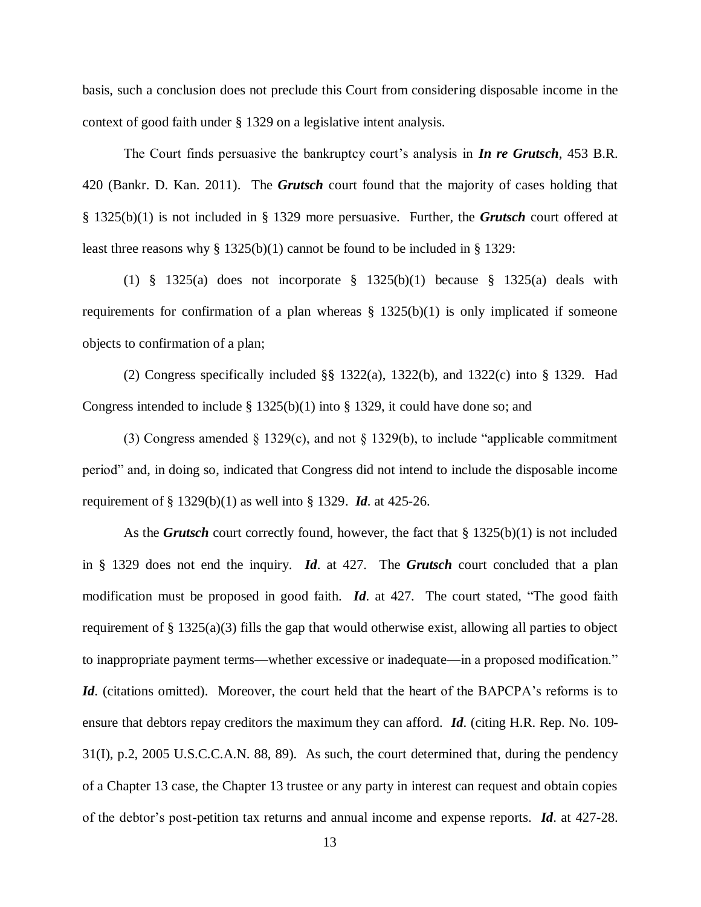basis, such a conclusion does not preclude this Court from considering disposable income in the context of good faith under § 1329 on a legislative intent analysis.

The Court finds persuasive the bankruptcy court's analysis in *In re Grutsch*, 453 B.R. 420 (Bankr. D. Kan. 2011). The *Grutsch* court found that the majority of cases holding that § 1325(b)(1) is not included in § 1329 more persuasive. Further, the *Grutsch* court offered at least three reasons why  $\S 1325(b)(1)$  cannot be found to be included in  $\S 1329$ :

(1) § 1325(a) does not incorporate § 1325(b)(1) because § 1325(a) deals with requirements for confirmation of a plan whereas  $\S$  1325(b)(1) is only implicated if someone objects to confirmation of a plan;

(2) Congress specifically included  $\S$ § 1322(a), 1322(b), and 1322(c) into § 1329. Had Congress intended to include  $\S$  1325(b)(1) into  $\S$  1329, it could have done so; and

(3) Congress amended  $\S$  1329(c), and not  $\S$  1329(b), to include "applicable commitment" period" and, in doing so, indicated that Congress did not intend to include the disposable income requirement of § 1329(b)(1) as well into § 1329. *Id*. at 425-26.

As the *Grutsch* court correctly found, however, the fact that § 1325(b)(1) is not included in § 1329 does not end the inquiry. *Id*. at 427. The *Grutsch* court concluded that a plan modification must be proposed in good faith. *Id*. at 427. The court stated, "The good faith requirement of [§ 1325\(a\)\(3\)](https://a.next.westlaw.com/Link/Document/FullText?findType=L&pubNum=1000546&cite=11USCAS1325&originationContext=document&transitionType=DocumentItem&contextData=%28sc.History*oc.UserEnteredCitation%29#co_pp_28cc0000ccca6) fills the gap that would otherwise exist, allowing all parties to object to inappropriate payment terms—whether excessive or inadequate—in a proposed modification." *Id.* (citations omitted). Moreover, the court held that the heart of the BAPCPA's reforms is to ensure that debtors repay creditors the maximum they can afford. *Id*. (citing H.R. Rep. No. 109- 31(I), p.2, 2005 U.S.C.C.A.N. 88, 89). As such, the court determined that, during the pendency of a Chapter 13 case, the Chapter 13 trustee or any party in interest can request and obtain copies of the debtor's post-petition tax returns and annual income and expense reports. *Id*. at 427-28.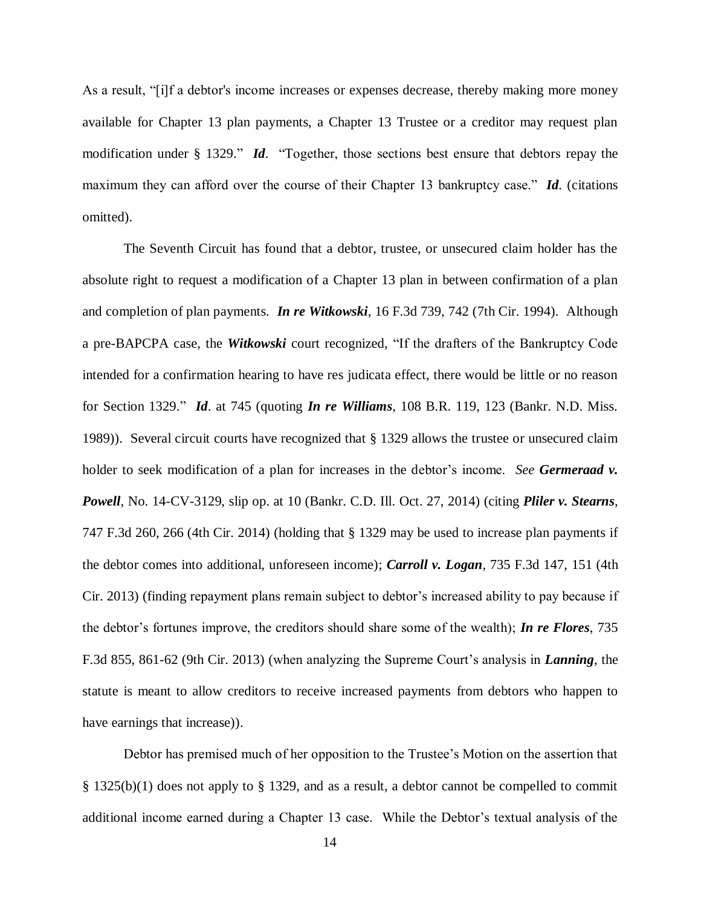As a result, "[i]f a debtor's income increases or expenses decrease, thereby making more money available for Chapter 13 plan payments, a Chapter 13 Trustee or a creditor may request plan modification under [§ 1329.](https://a.next.westlaw.com/Link/Document/FullText?findType=L&pubNum=1000546&cite=11USCAS1329&originatingDoc=I492a5fd1a61611e08bbeb4ca0e5b8ed9&refType=LQ&originationContext=document&transitionType=DocumentItem&contextData=%28sc.History*oc.UserEnteredCitation%29)" *Id*. "Together, those sections best ensure that debtors repay the maximum they can afford over the course of their Chapter 13 bankruptcy case." *Id*. (citations omitted).

The Seventh Circuit has found that a debtor, trustee, or unsecured claim holder has the absolute right to request a modification of a Chapter 13 plan in between confirmation of a plan and completion of plan payments. *In re Witkowski*, 16 F.3d 739, 742 (7th Cir. 1994). Although a pre-BAPCPA case, the *Witkowski* court recognized, "If the drafters of the Bankruptcy Code intended for a confirmation hearing to have res judicata effect, there would be little or no reason for [Section 1329.](https://a.next.westlaw.com/Link/Document/FullText?findType=L&pubNum=1000546&cite=11USCAS1329&originatingDoc=Iea224958970011d9a707f4371c9c34f0&refType=LQ&originationContext=document&transitionType=DocumentItem&contextData=%28sc.UserEnteredCitation%29)" *Id*. at 745 (quoting *In re Williams*, 108 B.R. 119, 123 (Bankr. N.D. Miss. 1989)). Several circuit courts have recognized that § 1329 allows the trustee or unsecured claim holder to seek modification of a plan for increases in the debtor's income. *See Germeraad v. Powell*, No. 14-CV-3129, slip op. at 10 (Bankr. C.D. Ill. Oct. 27, 2014) (citing *Pliler v. Stearns*, 747 F.3d 260, 266 (4th Cir. 2014) (holding that § 1329 may be used to increase plan payments if the debtor comes into additional, unforeseen income); *Carroll v. Logan*, 735 F.3d 147, 151 (4th Cir. 2013) (finding repayment plans remain subject to debtor's increased ability to pay because if the debtor's fortunes improve, the creditors should share some of the wealth); *In re Flores*, 735 F.3d 855, 861-62 (9th Cir. 2013) (when analyzing the Supreme Court's analysis in *Lanning*, the statute is meant to allow creditors to receive increased payments from debtors who happen to have earnings that increase)).

Debtor has premised much of her opposition to the Trustee's Motion on the assertion that § 1325(b)(1) does not apply to § 1329, and as a result, a debtor cannot be compelled to commit additional income earned during a Chapter 13 case. While the Debtor's textual analysis of the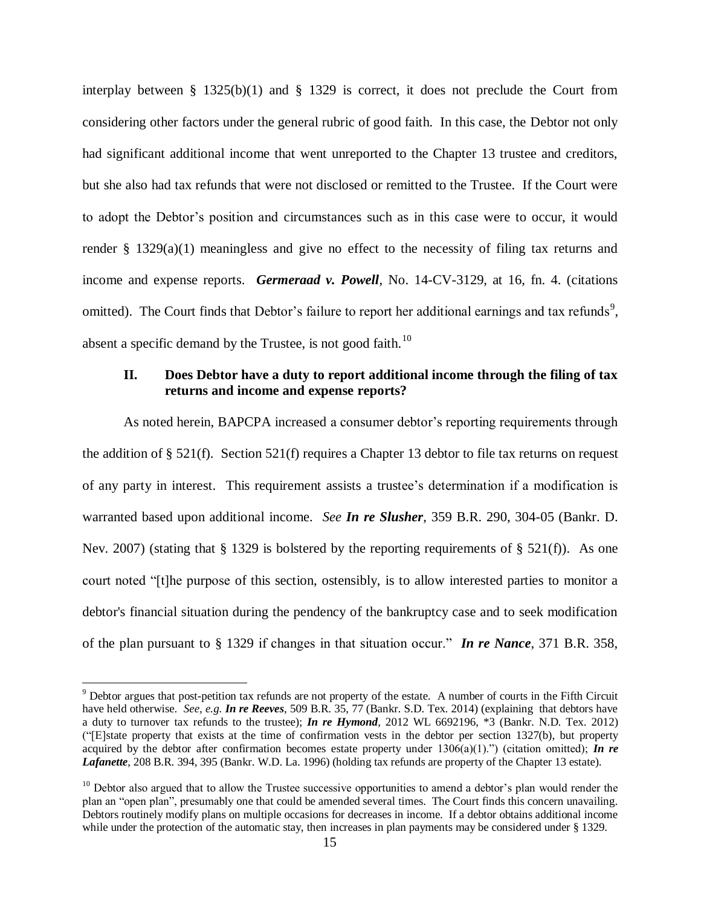interplay between  $\S$  1325(b)(1) and  $\S$  1329 is correct, it does not preclude the Court from considering other factors under the general rubric of good faith. In this case, the Debtor not only had significant additional income that went unreported to the Chapter 13 trustee and creditors, but she also had tax refunds that were not disclosed or remitted to the Trustee. If the Court were to adopt the Debtor's position and circumstances such as in this case were to occur, it would render  $\S$  1329(a)(1) meaningless and give no effect to the necessity of filing tax returns and income and expense reports. *Germeraad v. Powell*, No. 14-CV-3129, at 16, fn. 4. (citations omitted). The Court finds that Debtor's failure to report her additional earnings and tax refunds<sup>9</sup>, absent a specific demand by the Trustee, is not good faith.<sup>10</sup>

## **II. Does Debtor have a duty to report additional income through the filing of tax returns and income and expense reports?**

As noted herein, BAPCPA increased a consumer debtor's reporting requirements through the addition of § 521(f). Section 521(f) requires a Chapter 13 debtor to file tax returns on request of any party in interest. This requirement assists a trustee's determination if a modification is warranted based upon additional income. *See In re Slusher*, 359 B.R. 290, 304-05 (Bankr. D. Nev. 2007) (stating that  $\S 1329$  is bolstered by the reporting requirements of  $\S 521(f)$ ). As one court noted "[t]he purpose of this section, ostensibly, is to allow interested parties to monitor a debtor's financial situation during the pendency of the bankruptcy case and to seek modification of the plan pursuant to [§ 1329](https://a.next.westlaw.com/Link/Document/FullText?findType=L&pubNum=1000546&cite=11USCAS1329&originatingDoc=Idc44e5b833a711dcaf8dafd7ee2b8b26&refType=LQ&originationContext=document&transitionType=DocumentItem&contextData=%28sc.UserEnteredCitation%29) if changes in that situation occur." *In re Nance*, 371 B.R. 358,

<sup>&</sup>lt;sup>9</sup> Debtor argues that post-petition tax refunds are not property of the estate. A number of courts in the Fifth Circuit have held otherwise. *See, e.g. In re Reeves*, 509 B.R. 35, 77 (Bankr. S.D. Tex. 2014) (explaining that debtors have a duty to turnover tax refunds to the trustee); *In re Hymond*, 2012 WL 6692196, \*3 (Bankr. N.D. Tex. 2012) ("[E]state property that exists at the time of confirmation vests in the debtor per [section 1327\(b\),](https://a.next.westlaw.com/Link/Document/FullText?findType=L&pubNum=1000546&cite=11USCAS1327&originationContext=document&transitionType=DocumentItem&contextData=%28sc.Search%29#co_pp_a83b000018c76) but property acquired by the debtor after confirmation becomes estate property under  $1306(a)(1)$ .") (citation omitted); *In re Lafanette*, 208 B.R. 394, 395 (Bankr. W.D. La. 1996) (holding tax refunds are property of the Chapter 13 estate).

 $10$  Debtor also argued that to allow the Trustee successive opportunities to amend a debtor's plan would render the plan an "open plan", presumably one that could be amended several times. The Court finds this concern unavailing. Debtors routinely modify plans on multiple occasions for decreases in income. If a debtor obtains additional income while under the protection of the automatic stay, then increases in plan payments may be considered under § 1329.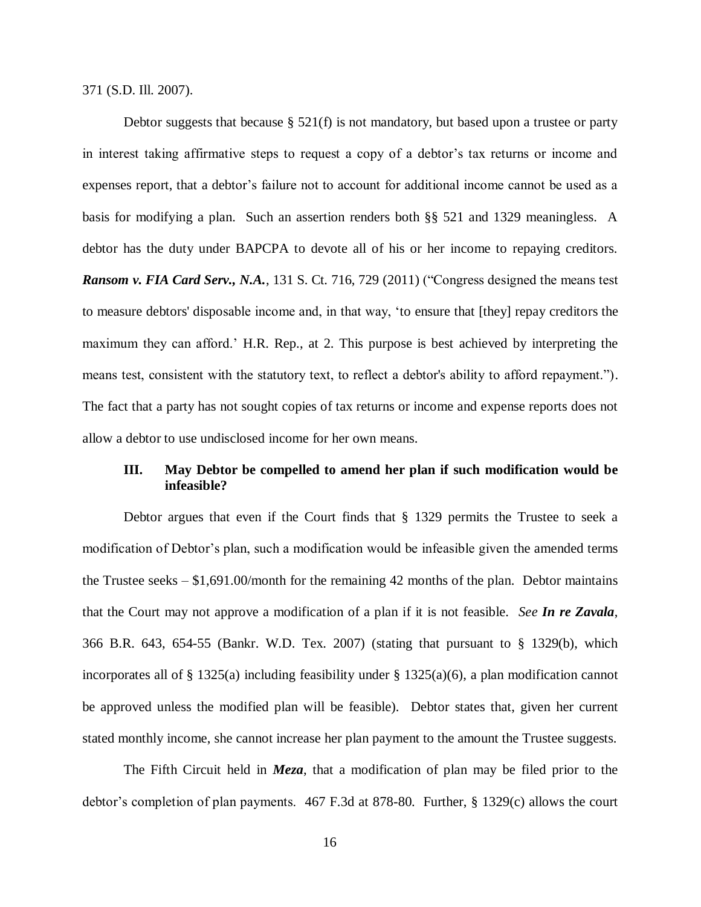371 (S.D. Ill. 2007).

Debtor suggests that because § 521(f) is not mandatory, but based upon a trustee or party in interest taking affirmative steps to request a copy of a debtor's tax returns or income and expenses report, that a debtor's failure not to account for additional income cannot be used as a basis for modifying a plan. Such an assertion renders both §§ 521 and 1329 meaningless. A debtor has the duty under BAPCPA to devote all of his or her income to repaying creditors. *Ransom v. FIA Card Serv., N.A.*, 131 S. Ct. 716, 729 (2011) ("Congress designed the means test to measure debtors' disposable income and, in that way, 'to ensure that [they] repay creditors the maximum they can afford.' H.R. Rep., at 2. This purpose is best achieved by interpreting the means test, consistent with the statutory text, to reflect a debtor's ability to afford repayment."). The fact that a party has not sought copies of tax returns or income and expense reports does not allow a debtor to use undisclosed income for her own means.

## **III. May Debtor be compelled to amend her plan if such modification would be infeasible?**

Debtor argues that even if the Court finds that § 1329 permits the Trustee to seek a modification of Debtor's plan, such a modification would be infeasible given the amended terms the Trustee seeks – \$1,691.00/month for the remaining 42 months of the plan. Debtor maintains that the Court may not approve a modification of a plan if it is not feasible. *See In re Zavala*, 366 B.R. 643, 654-55 (Bankr. W.D. Tex. 2007) (stating that pursuant to § 1329(b), which incorporates all of § 1325(a) including feasibility under § 1325(a)(6), a plan modification cannot be approved unless the modified plan will be feasible). Debtor states that, given her current stated monthly income, she cannot increase her plan payment to the amount the Trustee suggests.

The Fifth Circuit held in *Meza*, that a modification of plan may be filed prior to the debtor's completion of plan payments. 467 F.3d at 878-80. Further, § 1329(c) allows the court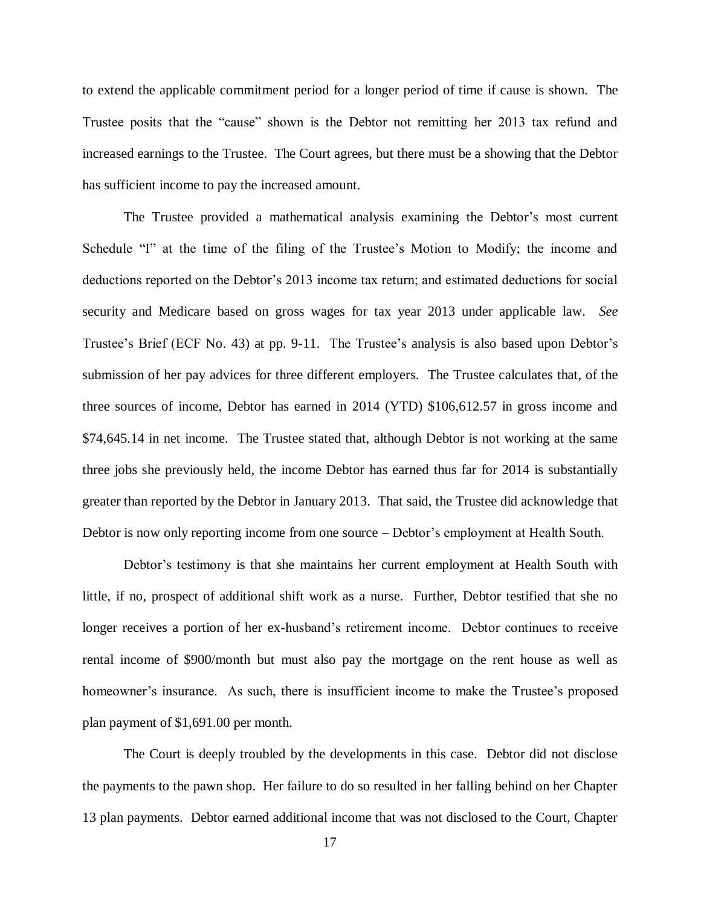to extend the applicable commitment period for a longer period of time if cause is shown. The Trustee posits that the "cause" shown is the Debtor not remitting her 2013 tax refund and increased earnings to the Trustee. The Court agrees, but there must be a showing that the Debtor has sufficient income to pay the increased amount.

The Trustee provided a mathematical analysis examining the Debtor's most current Schedule "I" at the time of the filing of the Trustee's Motion to Modify; the income and deductions reported on the Debtor's 2013 income tax return; and estimated deductions for social security and Medicare based on gross wages for tax year 2013 under applicable law. *See* Trustee's Brief (ECF No. 43) at pp. 9-11. The Trustee's analysis is also based upon Debtor's submission of her pay advices for three different employers. The Trustee calculates that, of the three sources of income, Debtor has earned in 2014 (YTD) \$106,612.57 in gross income and \$74,645.14 in net income. The Trustee stated that, although Debtor is not working at the same three jobs she previously held, the income Debtor has earned thus far for 2014 is substantially greater than reported by the Debtor in January 2013. That said, the Trustee did acknowledge that Debtor is now only reporting income from one source – Debtor's employment at Health South.

Debtor's testimony is that she maintains her current employment at Health South with little, if no, prospect of additional shift work as a nurse. Further, Debtor testified that she no longer receives a portion of her ex-husband's retirement income. Debtor continues to receive rental income of \$900/month but must also pay the mortgage on the rent house as well as homeowner's insurance. As such, there is insufficient income to make the Trustee's proposed plan payment of \$1,691.00 per month.

The Court is deeply troubled by the developments in this case. Debtor did not disclose the payments to the pawn shop. Her failure to do so resulted in her falling behind on her Chapter 13 plan payments. Debtor earned additional income that was not disclosed to the Court, Chapter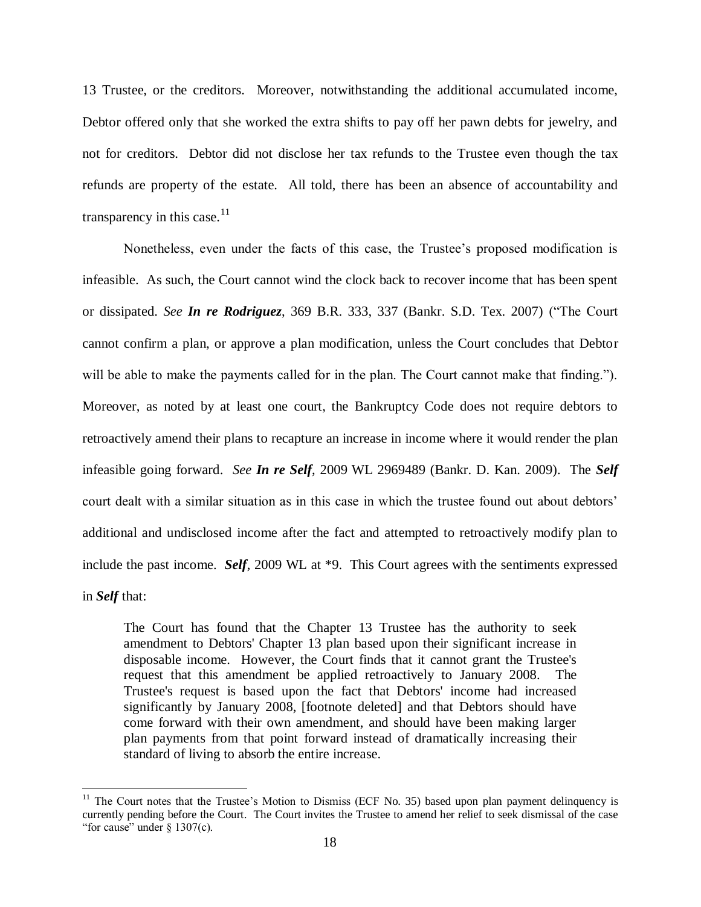13 Trustee, or the creditors. Moreover, notwithstanding the additional accumulated income, Debtor offered only that she worked the extra shifts to pay off her pawn debts for jewelry, and not for creditors. Debtor did not disclose her tax refunds to the Trustee even though the tax refunds are property of the estate. All told, there has been an absence of accountability and transparency in this case. $11$ 

Nonetheless, even under the facts of this case, the Trustee's proposed modification is infeasible. As such, the Court cannot wind the clock back to recover income that has been spent or dissipated. *See In re Rodriguez*, 369 B.R. 333, 337 (Bankr. S.D. Tex. 2007) ("The Court cannot confirm a plan, or approve a plan modification, unless the Court concludes that Debtor will be able to make the payments called for in the plan. The Court cannot make that finding."). Moreover, as noted by at least one court, the Bankruptcy Code does not require debtors to retroactively amend their plans to recapture an increase in income where it would render the plan infeasible going forward. *See In re Self*, 2009 WL 2969489 (Bankr. D. Kan. 2009). The *Self* court dealt with a similar situation as in this case in which the trustee found out about debtors' additional and undisclosed income after the fact and attempted to retroactively modify plan to include the past income. *Self*, 2009 WL at \*9. This Court agrees with the sentiments expressed in *Self* that:

The Court has found that the Chapter 13 Trustee has the authority to seek amendment to Debtors' Chapter 13 plan based upon their significant increase in disposable income. However, the Court finds that it cannot grant the Trustee's request that this amendment be applied retroactively to January 2008. The Trustee's request is based upon the fact that Debtors' income had increased significantly by January 2008, [footnote deleted] and that Debtors should have come forward with their own amendment, and should have been making larger plan payments from that point forward instead of dramatically increasing their standard of living to absorb the entire increase.

 $11$  The Court notes that the Trustee's Motion to Dismiss (ECF No. 35) based upon plan payment delinquency is currently pending before the Court. The Court invites the Trustee to amend her relief to seek dismissal of the case "for cause" under  $\S$  1307(c).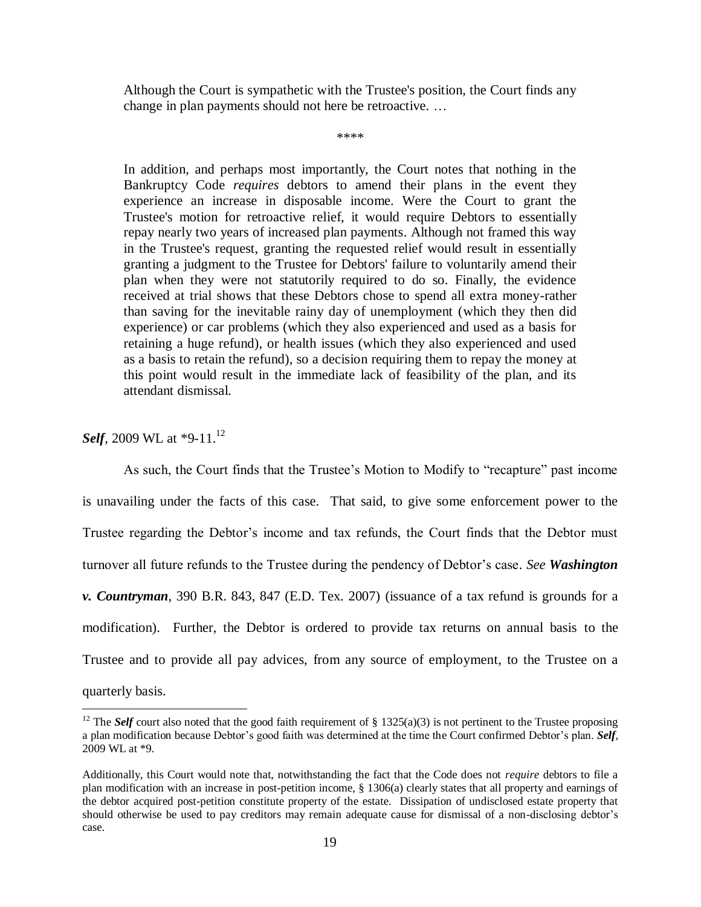Although the Court is sympathetic with the Trustee's position, the Court finds any change in plan payments should not here be retroactive. …

\*\*\*\*

In addition, and perhaps most importantly, the Court notes that nothing in the Bankruptcy Code *requires* debtors to amend their plans in the event they experience an increase in disposable income. Were the Court to grant the Trustee's motion for retroactive relief, it would require Debtors to essentially repay nearly two years of increased plan payments. Although not framed this way in the Trustee's request, granting the requested relief would result in essentially granting a judgment to the Trustee for Debtors' failure to voluntarily amend their plan when they were not statutorily required to do so. Finally, the evidence received at trial shows that these Debtors chose to spend all extra money-rather than saving for the inevitable rainy day of unemployment (which they then did experience) or car problems (which they also experienced and used as a basis for retaining a huge refund), or health issues (which they also experienced and used as a basis to retain the refund), so a decision requiring them to repay the money at this point would result in the immediate lack of feasibility of the plan, and its attendant dismissal.

*Self*, 2009 WL at \*9-11.<sup>12</sup>

 $\overline{a}$ 

As such, the Court finds that the Trustee's Motion to Modify to "recapture" past income is unavailing under the facts of this case. That said, to give some enforcement power to the Trustee regarding the Debtor's income and tax refunds, the Court finds that the Debtor must turnover all future refunds to the Trustee during the pendency of Debtor's case. *See Washington v. Countryman*, 390 B.R. 843, 847 (E.D. Tex. 2007) (issuance of a tax refund is grounds for a modification). Further, the Debtor is ordered to provide tax returns on annual basis to the Trustee and to provide all pay advices, from any source of employment, to the Trustee on a quarterly basis.

<sup>&</sup>lt;sup>12</sup> The *Self* court also noted that the good faith requirement of § 1325(a)(3) is not pertinent to the Trustee proposing a plan modification because Debtor's good faith was determined at the time the Court confirmed Debtor's plan. *Self*, 2009 WL at \*9.

Additionally, this Court would note that, notwithstanding the fact that the Code does not *require* debtors to file a plan modification with an increase in post-petition income, § 1306(a) clearly states that all property and earnings of the debtor acquired post-petition constitute property of the estate. Dissipation of undisclosed estate property that should otherwise be used to pay creditors may remain adequate cause for dismissal of a non-disclosing debtor's case.